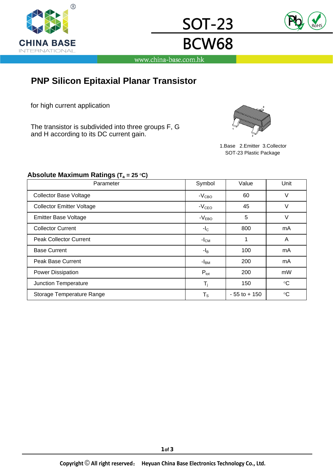



www.china-base.com.hk

<u>SOT-23</u>

**BCW68** 

## **PNP Silicon Epitaxial Planar Transistor**

for high current application

The transistor is subdivided into three groups F, G and H according to its DC current gain.



1.Base 2.Emitter 3.Collector SOT-23 Plastic Package

#### Absolute Maximum Ratings (T<sub>a</sub> = 25 °C)

| Parameter                        | Symbol           | Value           | Unit            |  |
|----------------------------------|------------------|-----------------|-----------------|--|
| <b>Collector Base Voltage</b>    | $-VCBO$          | 60              | V               |  |
| <b>Collector Emitter Voltage</b> | $-VCEO$          | 45              | V               |  |
| <b>Emitter Base Voltage</b>      | $-VEBO$          | 5               | V               |  |
| <b>Collector Current</b>         | $-IC$            | 800             | mA              |  |
| <b>Peak Collector Current</b>    | $-ICM$           |                 | A               |  |
| <b>Base Current</b>              | -l <sub>B</sub>  | 100             | mA              |  |
| <b>Peak Base Current</b>         | -I <sub>BM</sub> | 200             | mA              |  |
| Power Dissipation                | $P_{\text{tot}}$ | 200             | mW              |  |
| Junction Temperature             | $T_i$            | 150             | $\rm ^{\circ}C$ |  |
| Storage Temperature Range        | $T_S$            | $-55$ to $+150$ | $\rm ^{\circ}C$ |  |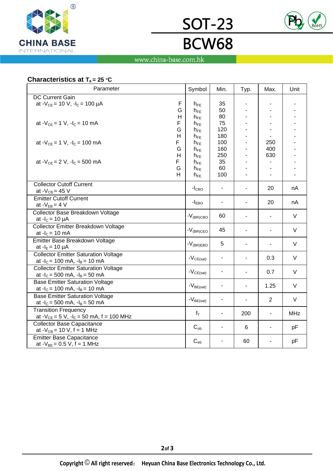



# **BCW68** www.china-base.com.hk

**SOT-23** 

#### Characteristics at T<sub>a</sub> = 25 °C

|                                                               |   | Symbol               | Min.       | Typ. | Max.           | Unit       |
|---------------------------------------------------------------|---|----------------------|------------|------|----------------|------------|
| <b>DC Current Gain</b>                                        |   |                      |            |      |                |            |
| at - $V_{CE}$ = 10 V, - $I_C$ = 100 µA                        | F | $h_{FE}$             | 35         |      |                |            |
|                                                               | G | $h_{FE}$             | 50         |      |                |            |
|                                                               | H | $h_{FE}$             | 80         |      |                |            |
| F<br>at $-V_{CE} = 1$ V, $-I_C = 10$ mA                       |   | $h_{FE}$             | 75         |      |                |            |
| G                                                             |   | $h_{FE}$             | 120        |      |                |            |
| н<br>at $-V_{CF} = 1 V$ , $-I_C = 100 mA$<br>F                |   | $h_{FE}$             | 180<br>100 |      | 250            |            |
| G                                                             |   | $h_{FE}$<br>$h_{FE}$ | 160        |      | 400            |            |
| H                                                             |   | $h_{FE}$             | 250        |      | 630            |            |
| F<br>at $-V_{CE} = 2 V$ , $-I_C = 500$ mA                     |   | $h_{FE}$             | 35         |      |                |            |
| G                                                             |   | $h_{FE}$             | 60         |      |                |            |
| H                                                             |   | $h_{FE}$             | 100        |      | L.             |            |
| <b>Collector Cutoff Current</b>                               |   |                      |            |      | 20             |            |
| at - $V_{CB} = 45$ V                                          |   | $-I_{CBO}$           |            |      |                | nA         |
| <b>Emitter Cutoff Current</b>                                 |   |                      | ٠          |      |                |            |
| at $-V_{EB} = 4 V$                                            |   | $-I_{EBO}$           |            |      | 20             | nA         |
| Collector Base Breakdown Voltage                              |   | $-V_{\rm (BR) CBO}$  | 60         |      |                | V          |
| at $-I_C = 10 \mu A$                                          |   |                      |            |      |                |            |
| Collector Emitter Breakdown Voltage                           |   | $-V_{\rm (BR)CEO}$   | 45         |      |                | $\vee$     |
| at $-IC = 10$ mA                                              |   |                      |            |      |                |            |
| Emitter Base Breakdown Voltage                                |   | $-V_{(BR)EBO}$       | 5          |      |                | $\vee$     |
| at $-I_E = 10 \mu A$                                          |   |                      |            |      |                |            |
| <b>Collector Emitter Saturation Voltage</b>                   |   | $-V_{CE(sat)}$       |            |      | 0.3            | V          |
| at $-I_c = 100$ mA, $-I_B = 10$ mA                            |   |                      |            |      |                |            |
| <b>Collector Emitter Saturation Voltage</b>                   |   | $-V_{CE(sat)}$       |            |      | 0.7            | $\vee$     |
| at $-I_c = 500$ mA, $-I_B = 50$ mA                            |   |                      |            |      |                |            |
| <b>Base Emitter Saturation Voltage</b>                        |   | $-V_{BE(sat)}$       |            |      | 1.25           | $\vee$     |
| at $-I_c = 100$ mA, $-I_B = 10$ mA                            |   |                      |            |      |                |            |
| <b>Base Emitter Saturation Voltage</b>                        |   | $-V_{BE(sat)}$       |            |      | $\overline{2}$ | $\vee$     |
| at $-I_c = 500$ mA, $-I_B = 50$ mA                            |   |                      |            |      |                |            |
| <b>Transition Frequency</b>                                   |   | $f_T$                | ٠          | 200  | ÷,             | <b>MHz</b> |
| at $-V_{CE} = 5 V$ , $-I_C = 50 mA$ , f = 100 MHz             |   |                      |            |      |                |            |
| Collector Base Capacitance<br>at $-V_{CB} = 10 V$ , f = 1 MHz |   | $C_{ob}$             |            | 6    |                | pF         |
| <b>Emitter Base Capacitance</b>                               |   |                      |            |      |                |            |
| at $-V_{BE} = 0.5 V$ , f = 1 MHz                              |   | $C_{eb}$             |            | 60   |                | pF         |